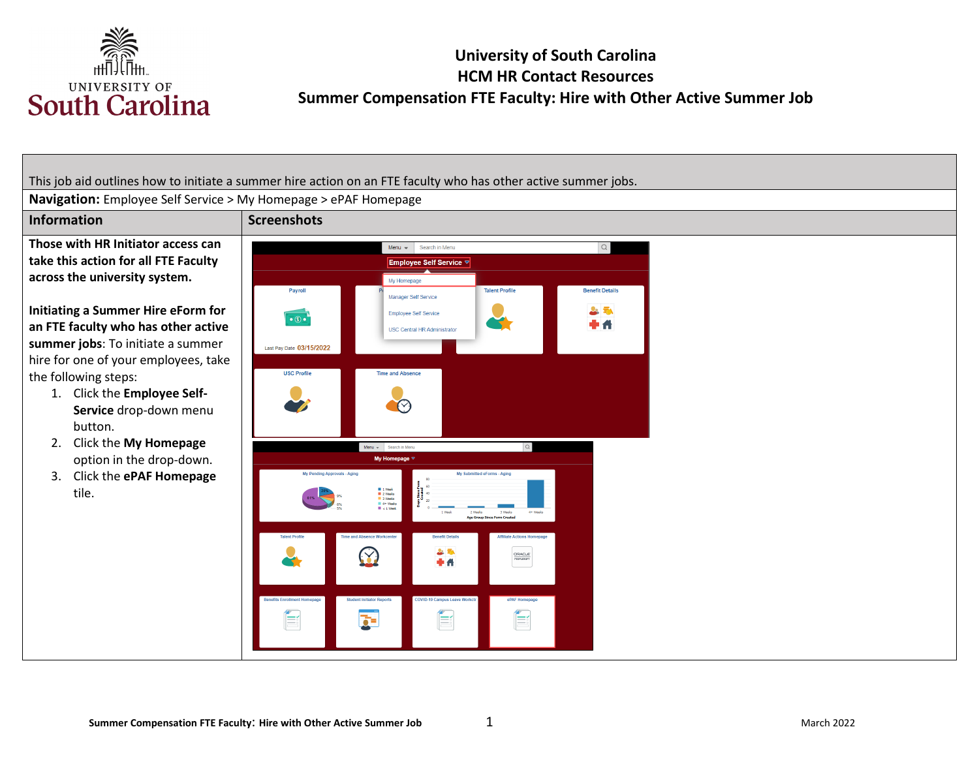

This job aid outlines how to initiate a summer hire action on an FTE faculty who has other active summer jobs.

**Navigation:** Employee Self Service > My Homepage > ePAF Homepage

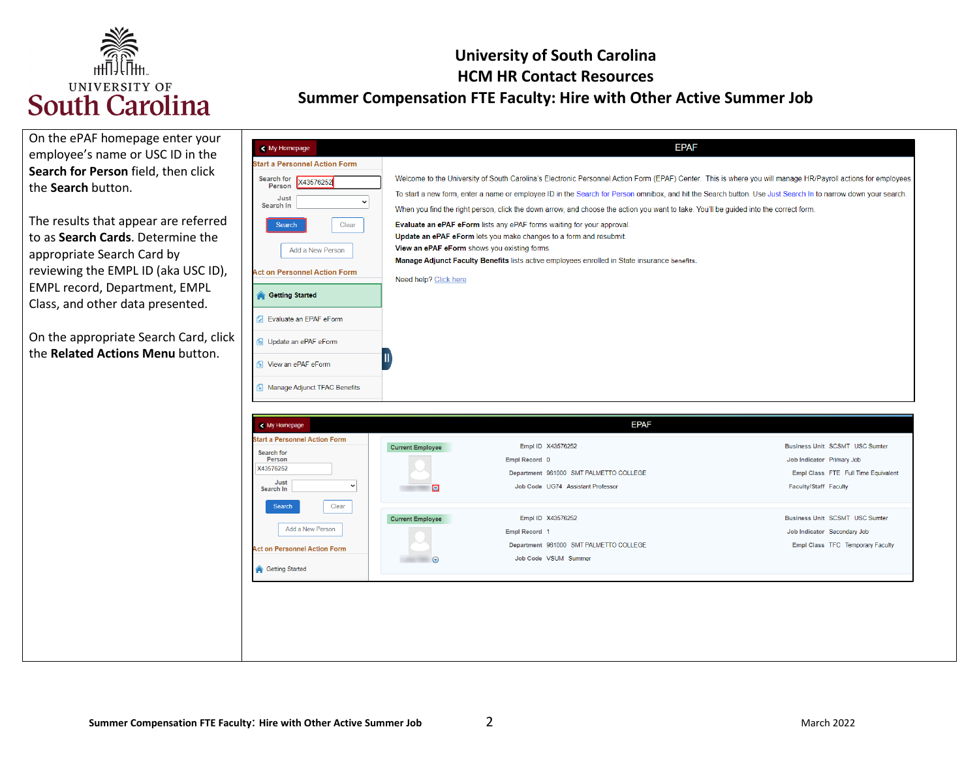

| On the ePAF homepage enter your<br>employee's name or USC ID in the<br>Search for Person field, then click<br>the Search button.                                                                                                                                                                        | < My Homepage<br><b>Start a Personnel Action Form</b><br>Search for<br>X43576252<br>Person                                                                                                                                                                      | Welcome to the University of South Carolina's Electronic Personnel Action Form (EPAF) Center. This is where you will manage HR/Payroll actions for employees.<br>To start a new form, enter a name or employee ID in the Search for Person omnibox, and hit the Search button. Use Just Search In to narrow down your search.                                                                                                                                  | <b>EPAF</b>                                                                                                                                                                                                                             |
|---------------------------------------------------------------------------------------------------------------------------------------------------------------------------------------------------------------------------------------------------------------------------------------------------------|-----------------------------------------------------------------------------------------------------------------------------------------------------------------------------------------------------------------------------------------------------------------|----------------------------------------------------------------------------------------------------------------------------------------------------------------------------------------------------------------------------------------------------------------------------------------------------------------------------------------------------------------------------------------------------------------------------------------------------------------|-----------------------------------------------------------------------------------------------------------------------------------------------------------------------------------------------------------------------------------------|
| The results that appear are referred<br>to as Search Cards. Determine the<br>appropriate Search Card by<br>reviewing the EMPL ID (aka USC ID),<br><b>EMPL record, Department, EMPL</b><br>Class, and other data presented.<br>On the appropriate Search Card, click<br>the Related Actions Menu button. | Just<br>$\checkmark$<br>Search In<br>Clear<br><b>Search</b><br>Add a New Person<br><b>Act on Personnel Action Form</b><br><b>Getting Started</b><br>Fyaluate an EPAF eForm<br><b>b</b> Update an ePAF eForm<br><b>1</b> View an ePAF eForm                      | When you find the right person, click the down arrow, and choose the action you want to take. You'll be guided into the correct form.<br>Evaluate an ePAF eForm lists any ePAF forms waiting for your approval.<br>Update an ePAF eForm lets you make changes to a form and resubmit.<br>View an ePAF eForm shows you existing forms.<br>Manage Adjunct Faculty Benefits lists active employees enrolled in State insurance benefits.<br>Need help? Click here |                                                                                                                                                                                                                                         |
|                                                                                                                                                                                                                                                                                                         | Manage Adjunct TFAC Benefits<br>< My Homepage<br><b>Start a Personnel Action Form</b><br>Search for<br>Person<br>X43576252<br>Just<br>$\check{ }$<br>Search In<br>Clear<br>Search<br>Add a New Person<br><b>Act on Personnel Action Form</b><br>Getting Started | <b>EPAF</b><br>Empl ID X43576252<br><b>Current Employee</b><br>Empl Record 0<br>Department 961000 SMT PALMETTO COLLEGE<br>Job Code UG74 Assistant Professor<br>ø<br>Empl ID X43576252<br><b>Current Employee</b><br>Empl Record 1<br>Department 961000 SMT PALMETTO COLLEGE<br>Job Code VSUM Summer<br>$\bullet$ $\bullet$                                                                                                                                     | Business Unit SCSMT USC Sumter<br>Job Indicator Primary Job<br>Empl Class FTE Full Time Equivalent<br>Faculty/Staff Faculty<br><b>Business Unit SCSMT USC Sumter</b><br>Job Indicator Secondary Job<br>Empl Class TFC Temporary Faculty |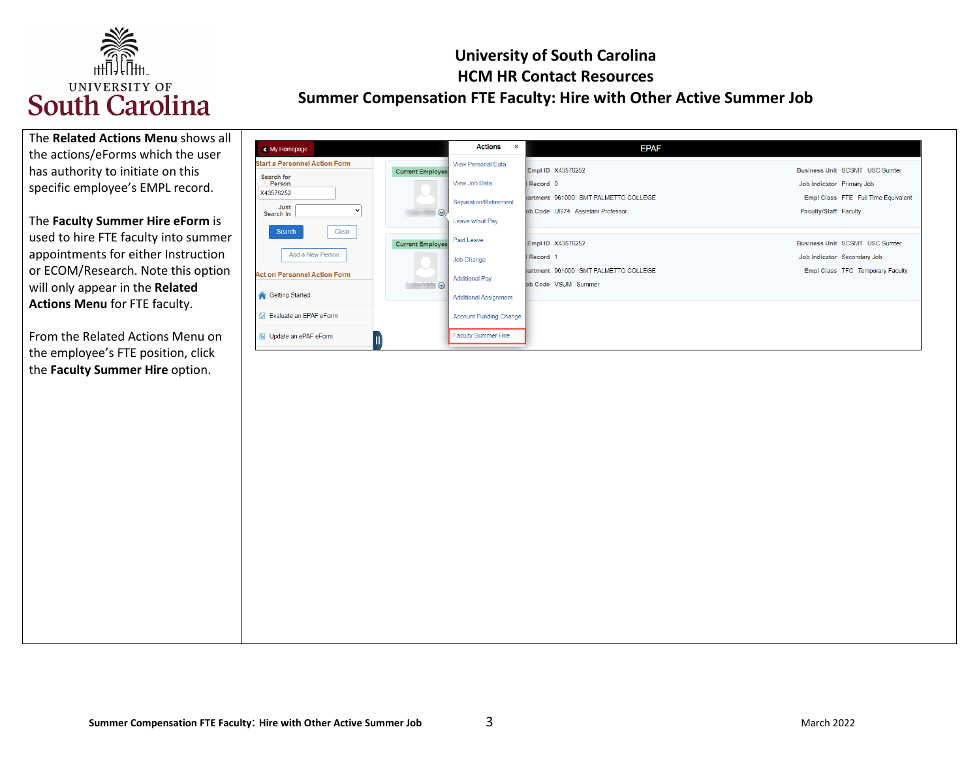

| The Related Actions Menu shows all |
|------------------------------------|
| the actions/eForms which the user  |
| has authority to initiate on this  |
| specific employee's EMPL record.   |

 **Actions Menu** for FTE faculty. The **Faculty Summer Hire eForm** is used to hire FTE faculty into summer appointments for either Instruction or ECOM/Research. Note this option will only appear in the **Related** 

 From the Related Actions Menu on the **Faculty Summer Hire** option. the employee's FTE position, click

| < My Homepage                        |                         | Actions<br>$\mathsf{x}$       | <b>EPAF</b>                          |                                       |
|--------------------------------------|-------------------------|-------------------------------|--------------------------------------|---------------------------------------|
| <b>Start a Personnel Action Form</b> | <b>Current Employee</b> | <b>View Personal Data</b>     | Empl ID X43576252                    | <b>Business Unit SCSMT USC Sumter</b> |
| Search for<br>Person                 |                         | View Job Data                 | Record 0                             | Job Indicator Primary Job             |
| X43576252<br>Just                    | <b>All</b>              | Separation/Retirement         | bartment 961000 SMT PALMETTO COLLEGE | Empl Class FTE Full Time Equivalent   |
| Search In<br>Search<br>Clear         | $\odot$                 | Leave w/out Pay               | ob Code UG74 Assistant Professor     | Faculty/Staff Faculty                 |
|                                      | <b>Current Employee</b> | Paid Leave                    | Empl ID X43576252                    | <b>Business Unit SCSMT USC Sumter</b> |
| Add a New Person                     |                         | Job Change                    | Record <sub>1</sub>                  | Job Indicator Secondary Job           |
| <b>Act on Personnel Action Form</b>  | <b>All Contracts</b>    | <b>Additional Pay</b>         | bartment 961000 SMT PALMETTO COLLEGE | Empl Class TFC Temporary Faculty      |
| Getting Started                      | $\sim$ $\sim$ $\sim$    | <b>Additional Assignment</b>  | ob Code VSUM Summer                  |                                       |
| Fy Evaluate an EPAF eForm            |                         | <b>Account Funding Change</b> |                                      |                                       |
| <b>6</b> Update an ePAF eForm        |                         | <b>Faculty Summer Hire</b>    |                                      |                                       |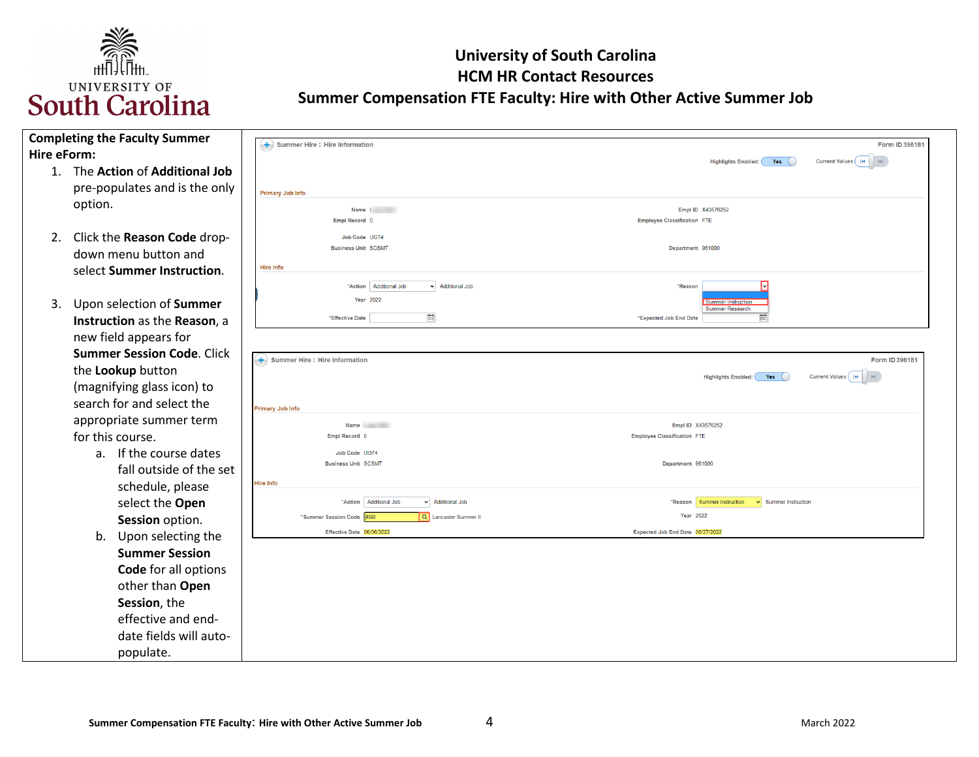

|             | <b>Completing the Faculty Summer</b> | $($ + $)$ Summer Hire : Hire Information            | Form ID 396181                                                              |
|-------------|--------------------------------------|-----------------------------------------------------|-----------------------------------------------------------------------------|
| Hire eForm: |                                      |                                                     | Current Values    4<br>$\vert$ $\vert$<br>Yes<br><b>Highlights Enabled:</b> |
|             | 1. The Action of Additional Job      |                                                     |                                                                             |
|             | pre-populates and is the only        | <b>Primary Job Info</b>                             |                                                                             |
|             | option.                              | Name 1                                              | Empl ID X43576252                                                           |
|             |                                      | Empl Record 0                                       | <b>Employee Classification FTE</b>                                          |
|             | 2. Click the Reason Code drop-       | Job Code UG74                                       |                                                                             |
|             | down menu button and                 | <b>Business Unit SCSMT</b>                          | Department 961000                                                           |
|             | select Summer Instruction.           | Hire Info                                           |                                                                             |
|             |                                      | v Additional Job<br>"Action   Additional Job        | *Reason                                                                     |
| 3.          | Upon selection of Summer             | <b>Year 2022</b>                                    | Summer Instruction<br><b>Summer Research</b>                                |
|             | Instruction as the Reason, a         | 曲<br>*Effective Date                                | 亩<br>*Expected Job End Date                                                 |
|             | new field appears for                |                                                     |                                                                             |
|             | <b>Summer Session Code. Click</b>    |                                                     |                                                                             |
|             | the Lookup button                    | $(+)$ Summer Hire : Hire Information                | Form ID 396181                                                              |
|             | (magnifying glass icon) to           |                                                     | Current Values    4<br>Yes<br><b>Highlights Enabled:</b><br>$\rightarrow$   |
|             | search for and select the            |                                                     |                                                                             |
|             |                                      | <b>Primary Job Info</b>                             |                                                                             |
|             | appropriate summer term              | <b>Name</b>                                         | Empl ID X43576252                                                           |
|             | for this course.                     | Empl Record 0                                       | <b>Employee Classification FTE</b>                                          |
|             | a. If the course dates               | Job Code UG74<br><b>Business Unit SCSMT</b>         | Department 961000                                                           |
|             | fall outside of the set              |                                                     |                                                                             |
|             | schedule, please                     | <b>Hire Info</b>                                    |                                                                             |
|             | select the Open                      | *Action   Additional Job<br>v Additional Job        | *Reason Summer Instruction<br>v Summer Instruction                          |
|             | Session option.                      | Q Lancaster Summer II<br>*Summer Session Code   4SB | Year 2022                                                                   |
|             | Upon selecting the<br>b.             | Effective Date 06/06/2022                           | Expected Job End Date 06/27/2022                                            |
|             | <b>Summer Session</b>                |                                                     |                                                                             |
|             | <b>Code</b> for all options          |                                                     |                                                                             |
|             | other than Open                      |                                                     |                                                                             |
|             | Session, the                         |                                                     |                                                                             |
|             | effective and end-                   |                                                     |                                                                             |
|             | date fields will auto-               |                                                     |                                                                             |
|             | populate.                            |                                                     |                                                                             |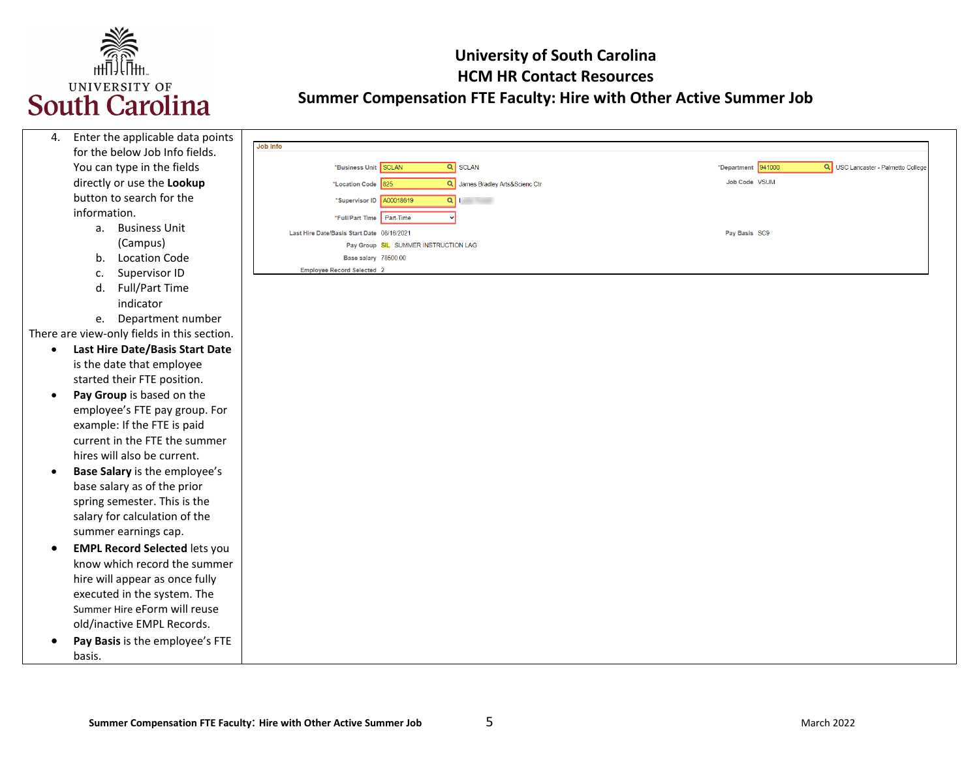

| 4.        | Enter the applicable data points            |                                                       |                                                          |
|-----------|---------------------------------------------|-------------------------------------------------------|----------------------------------------------------------|
|           | for the below Job Info fields.              | Job Info                                              |                                                          |
|           | You can type in the fields                  | *Business Unit SCLAN<br>Q SCLAN                       | *Department 941000<br>Q USC Lancaster - Palmetto College |
|           | directly or use the Lookup                  | Q James Bradley Arts&Scienc Ctr<br>*Location Code 825 | Job Code VSUM                                            |
|           | button to search for the                    | $Q \parallel$<br>*Supervisor ID A00018619             |                                                          |
|           | information.                                | Part-Time<br>*Full/Part Time                          |                                                          |
|           | a. Business Unit                            | Last Hire Date/Basis Start Date 08/16/2021            | Pay Basis SC9                                            |
|           | (Campus)                                    | Pay Group SIL SUMMER INSTRUCTION LAG                  |                                                          |
|           | <b>Location Code</b><br>b.                  | Base salary 78500.00                                  |                                                          |
|           | Supervisor ID<br>c.                         | Employee Record Selected 2                            |                                                          |
|           | Full/Part Time<br>d.                        |                                                       |                                                          |
|           | indicator                                   |                                                       |                                                          |
|           | Department number<br>e.                     |                                                       |                                                          |
|           | There are view-only fields in this section. |                                                       |                                                          |
| $\bullet$ | Last Hire Date/Basis Start Date             |                                                       |                                                          |
|           | is the date that employee                   |                                                       |                                                          |
|           | started their FTE position.                 |                                                       |                                                          |
| $\bullet$ | Pay Group is based on the                   |                                                       |                                                          |
|           | employee's FTE pay group. For               |                                                       |                                                          |
|           | example: If the FTE is paid                 |                                                       |                                                          |
|           | current in the FTE the summer               |                                                       |                                                          |
|           | hires will also be current.                 |                                                       |                                                          |
|           | Base Salary is the employee's               |                                                       |                                                          |
|           | base salary as of the prior                 |                                                       |                                                          |
|           | spring semester. This is the                |                                                       |                                                          |
|           | salary for calculation of the               |                                                       |                                                          |
|           | summer earnings cap.                        |                                                       |                                                          |
| $\bullet$ | <b>EMPL Record Selected lets you</b>        |                                                       |                                                          |
|           | know which record the summer                |                                                       |                                                          |
|           | hire will appear as once fully              |                                                       |                                                          |
|           | executed in the system. The                 |                                                       |                                                          |
|           | Summer Hire eForm will reuse                |                                                       |                                                          |
|           | old/inactive EMPL Records.                  |                                                       |                                                          |
|           | Pay Basis is the employee's FTE             |                                                       |                                                          |
|           | basis.                                      |                                                       |                                                          |
|           |                                             |                                                       |                                                          |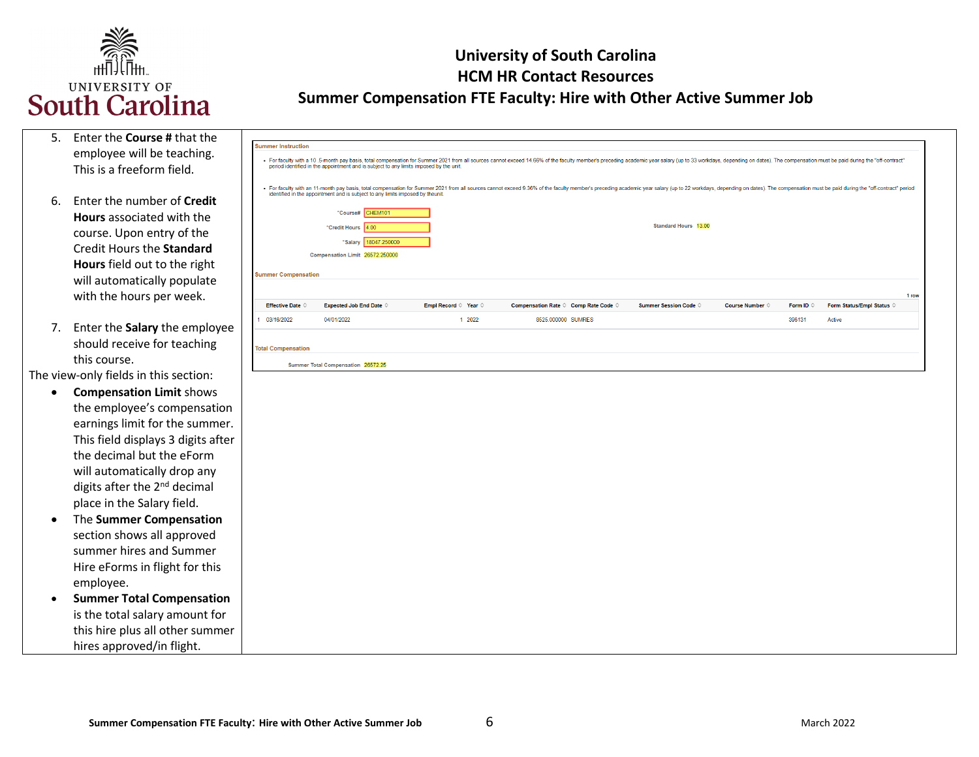

| 5. | Enter the <b>Course</b> # that the |
|----|------------------------------------|
|    | employee will be teaching.         |
|    | This is a freeform field.          |

- **Hours** associated with the **Hours** field out to the right with the hours per week. 6. Enter the number of **Credit**  course. Upon entry of the Credit Hours the **Standard**  will automatically populate
- 7. Enter the **Salary** the employee should receive for teaching this course.

The view-only fields in this section:

- This field displays 3 digits after the decimal but the eForm place in the Salary field. • **Compensation Limit** shows the employee's compensation earnings limit for the summer. will automatically drop any digits after the 2<sup>nd</sup> decimal
- The **Summer Compensation**  section shows all approved summer hires and Summer Hire eForms in flight for this employee.
- **Summer Total Compensation**  is the total salary amount for this hire plus all other summer hires approved/in flight.

|                            |                                                                                | period identified in the appointment and is subject to any limits imposed by the unit. | · For faculty with a 10.5-month pay basis, total compensation for Summer 2021 from all sources cannot exceed 14.66% of the faculty member's preceding academic year salary (up to 33 workdays, depending on dates). The compen |                                |                          |                    |                           |       |
|----------------------------|--------------------------------------------------------------------------------|----------------------------------------------------------------------------------------|--------------------------------------------------------------------------------------------------------------------------------------------------------------------------------------------------------------------------------|--------------------------------|--------------------------|--------------------|---------------------------|-------|
|                            | identified in the appointment and is subject to any limits imposed by theunit. |                                                                                        | For faculty with an 11-month pay basis, total compensation for Summer 2021 from all sources cannot exceed 9.36% of the faculty member's preceding academic year salary (up to 22 workdays, depending on dates). The compensati |                                |                          |                    |                           |       |
|                            | *Course# CHEM101<br>*Credit Hours 4.00                                         |                                                                                        |                                                                                                                                                                                                                                | <b>Standard Hours 13.00</b>    |                          |                    |                           |       |
|                            | 18047.250000<br>*Salary<br>Compensation Limit 26572.250000                     |                                                                                        |                                                                                                                                                                                                                                |                                |                          |                    |                           |       |
| <b>Summer Compensation</b> |                                                                                |                                                                                        |                                                                                                                                                                                                                                |                                |                          |                    |                           |       |
| <b>Effective Date ©</b>    | <b>Expected Job End Date <math>\Diamond</math></b>                             | Empl Record © Year ©                                                                   | Compensation Rate © Comp Rate Code ©                                                                                                                                                                                           | Summer Session Code $\Diamond$ | Course Number $\Diamond$ | Form ID $\Diamond$ | Form Status/Empl Status © | 1 row |
| 1 03/16/2022               | 04/01/2022                                                                     | 1 2022                                                                                 | 8525,000000 SUMRES                                                                                                                                                                                                             |                                |                          | 396131             | Active                    |       |
| <b>Total Compensation</b>  | Summer Total Compensation 26572.25                                             |                                                                                        |                                                                                                                                                                                                                                |                                |                          |                    |                           |       |
|                            |                                                                                |                                                                                        |                                                                                                                                                                                                                                |                                |                          |                    |                           |       |

ummer Instruction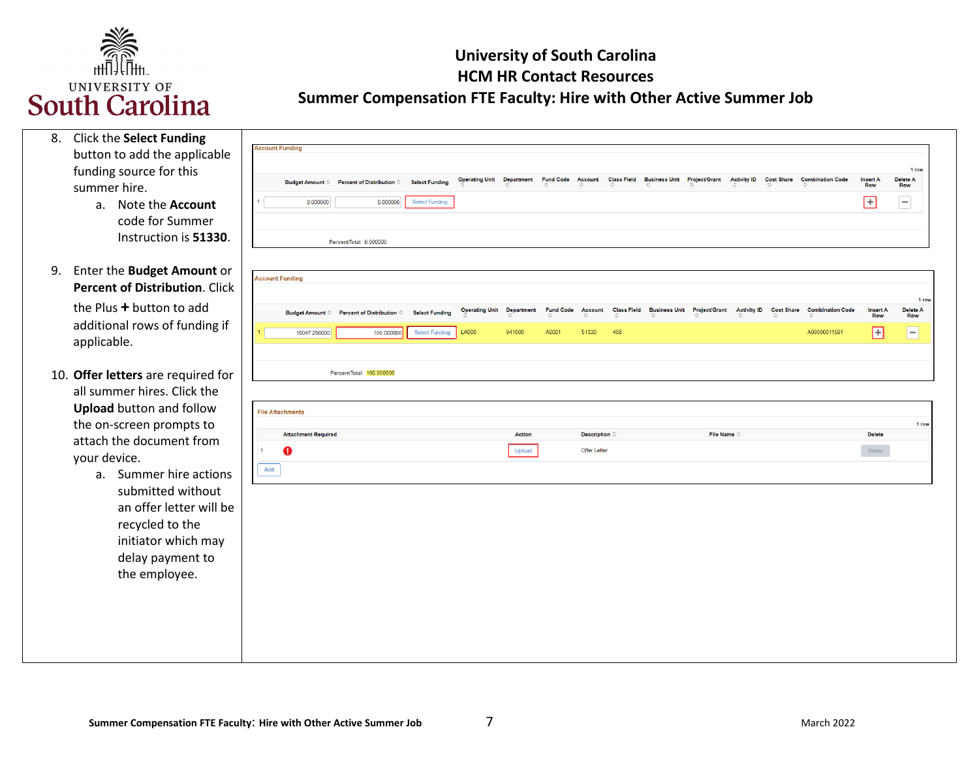

| 8. Click the Select Funding<br>button to add the applicable                                                                                                       | <b>Account Funding</b>                 |                                                          |                                                |                                  |                   |                  |                                        |                    |                                         |                      |                    |                   |                                         |                               |                                 |
|-------------------------------------------------------------------------------------------------------------------------------------------------------------------|----------------------------------------|----------------------------------------------------------|------------------------------------------------|----------------------------------|-------------------|------------------|----------------------------------------|--------------------|-----------------------------------------|----------------------|--------------------|-------------------|-----------------------------------------|-------------------------------|---------------------------------|
| funding source for this<br>summer hire.                                                                                                                           |                                        | Budget Amount © Percent of Distribution © Select Funding |                                                | <b>Operating Unit</b>            | <b>Department</b> | <b>Fund Code</b> | <b>Account</b>                         | <b>Class Field</b> | <b>Business Unit Project/Grant</b>      |                      | <b>Activity ID</b> | <b>Cost Share</b> | <b>Combination Code</b>                 | <b>Insert A</b><br><b>Row</b> | 1 row<br>Delete A<br><b>Row</b> |
| Note the <b>Account</b><br>$a_{\cdot}$<br>code for Summer<br>Instruction is 51330.                                                                                | 0.000000                               | 0.000000<br>PercentTotal 0.000000                        | <b>Select Funding</b>                          |                                  |                   |                  |                                        |                    |                                         |                      |                    |                   |                                         | $\Box$                        | $\overline{\phantom{a}}$        |
| 9. Enter the Budget Amount or<br><b>Percent of Distribution. Click</b><br>the Plus + button to add                                                                | <b>Account Funding</b>                 |                                                          |                                                | <b>Operating Unit Department</b> |                   | <b>Fund Code</b> | Account                                |                    | Class Field Business Unit Project/Grant |                      |                    |                   | Activity ID Cost Share Combination Code | <b>Insert A</b>               | 1 row<br>Delete A               |
| additional rows of funding if<br>applicable.                                                                                                                      | 18047.250000                           | Budget Amount © Percent of Distribution ©<br>100.000000  | <b>Select Funding</b><br><b>Select Funding</b> | <b>LA000</b>                     | 941000            | A0001            | 51330                                  | 458                |                                         |                      |                    |                   | A00000011591                            | Row<br>$\boxplus$             | Row<br>$\overline{ }$           |
| 10. Offer letters are required for<br>all summer hires. Click the<br><b>Upload</b> button and follow                                                              | <b>File Attachments</b>                | PercentTotal 100,000000                                  |                                                |                                  |                   |                  |                                        |                    |                                         |                      |                    |                   |                                         |                               |                                 |
| the on-screen prompts to<br>attach the document from<br>your device.                                                                                              | <b>Attachment Required</b><br>$\bf{a}$ |                                                          |                                                |                                  | Action<br>Upload  |                  | Description $\diamond$<br>Offer Letter |                    |                                         | File Name $\diamond$ |                    |                   |                                         | <b>Delete</b><br>Delete       | 1 row                           |
| Summer hire actions<br>$a_{\cdot}$<br>submitted without<br>an offer letter will be<br>recycled to the<br>initiator which may<br>delay payment to<br>the employee. | Add                                    |                                                          |                                                |                                  |                   |                  |                                        |                    |                                         |                      |                    |                   |                                         |                               |                                 |